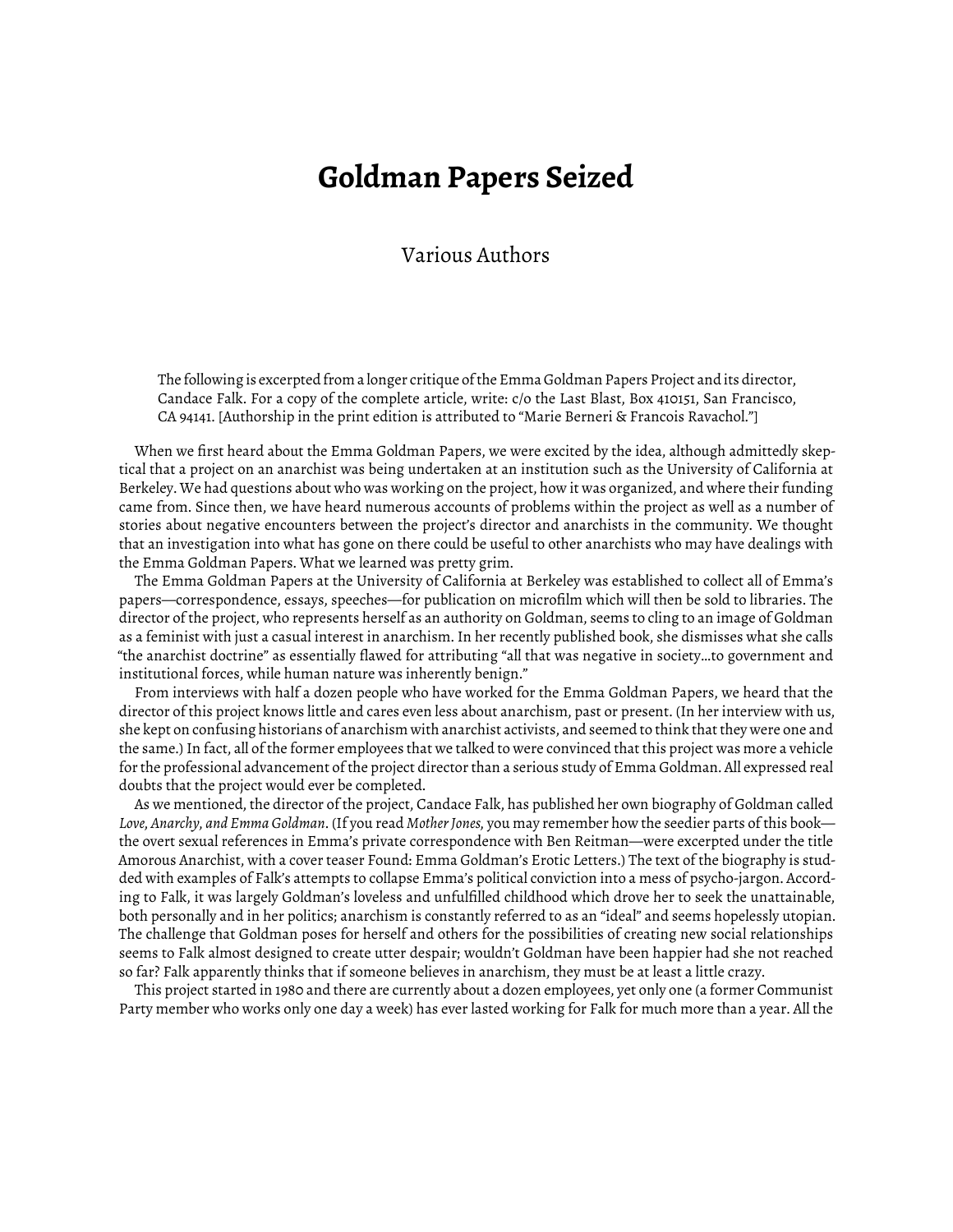## **Goldman Papers Seized**

## Various Authors

The following is excerpted from a longer critique of the Emma Goldman Papers Project and its director, Candace Falk. For a copy of the complete article, write: c/o the Last Blast, Box 410151, San Francisco, CA 94141. [Authorship in the print edition is attributed to "Marie Berneri & Francois Ravachol."]

When we first heard about the Emma Goldman Papers, we were excited by the idea, although admittedly skeptical that a project on an anarchist was being undertaken at an institution such as the University of California at Berkeley. We had questions about who was working on the project, how it was organized, and where their funding came from. Since then, we have heard numerous accounts of problems within the project as well as a number of stories about negative encounters between the project's director and anarchists in the community. We thought that an investigation into what has gone on there could be useful to other anarchists who may have dealings with the Emma Goldman Papers. What we learned was pretty grim.

The Emma Goldman Papers at the University of California at Berkeley was established to collect all of Emma's papers—correspondence, essays, speeches—for publication on microfilm which will then be sold to libraries. The director of the project, who represents herself as an authority on Goldman, seems to cling to an image of Goldman as a feminist with just a casual interest in anarchism. In her recently published book, she dismisses what she calls "the anarchist doctrine" as essentially flawed for attributing "all that was negative in society…to government and institutional forces, while human nature was inherently benign."

From interviews with half a dozen people who have worked for the Emma Goldman Papers, we heard that the director of this project knows little and cares even less about anarchism, past or present. (In her interview with us, she kept on confusing historians of anarchism with anarchist activists, and seemed to think that they were one and the same.) In fact, all of the former employees that we talked to were convinced that this project was more a vehicle for the professional advancement of the project director than a serious study of Emma Goldman. All expressed real doubts that the project would ever be completed.

As we mentioned, the director of the project, Candace Falk, has published her own biography of Goldman called *Love, Anarchy, and Emma Goldman*. (If you read *Mother Jones,* you may remember how the seedier parts of this book the overt sexual references in Emma's private correspondence with Ben Reitman—were excerpted under the title Amorous Anarchist, with a cover teaser Found: Emma Goldman's Erotic Letters.) The text of the biography is studded with examples of Falk's attempts to collapse Emma's political conviction into a mess of psycho-jargon. According to Falk, it was largely Goldman's loveless and unfulfilled childhood which drove her to seek the unattainable, both personally and in her politics; anarchism is constantly referred to as an "ideal" and seems hopelessly utopian. The challenge that Goldman poses for herself and others for the possibilities of creating new social relationships seems to Falk almost designed to create utter despair; wouldn't Goldman have been happier had she not reached so far? Falk apparently thinks that if someone believes in anarchism, they must be at least a little crazy.

This project started in 1980 and there are currently about a dozen employees, yet only one (a former Communist Party member who works only one day a week) has ever lasted working for Falk for much more than a year. All the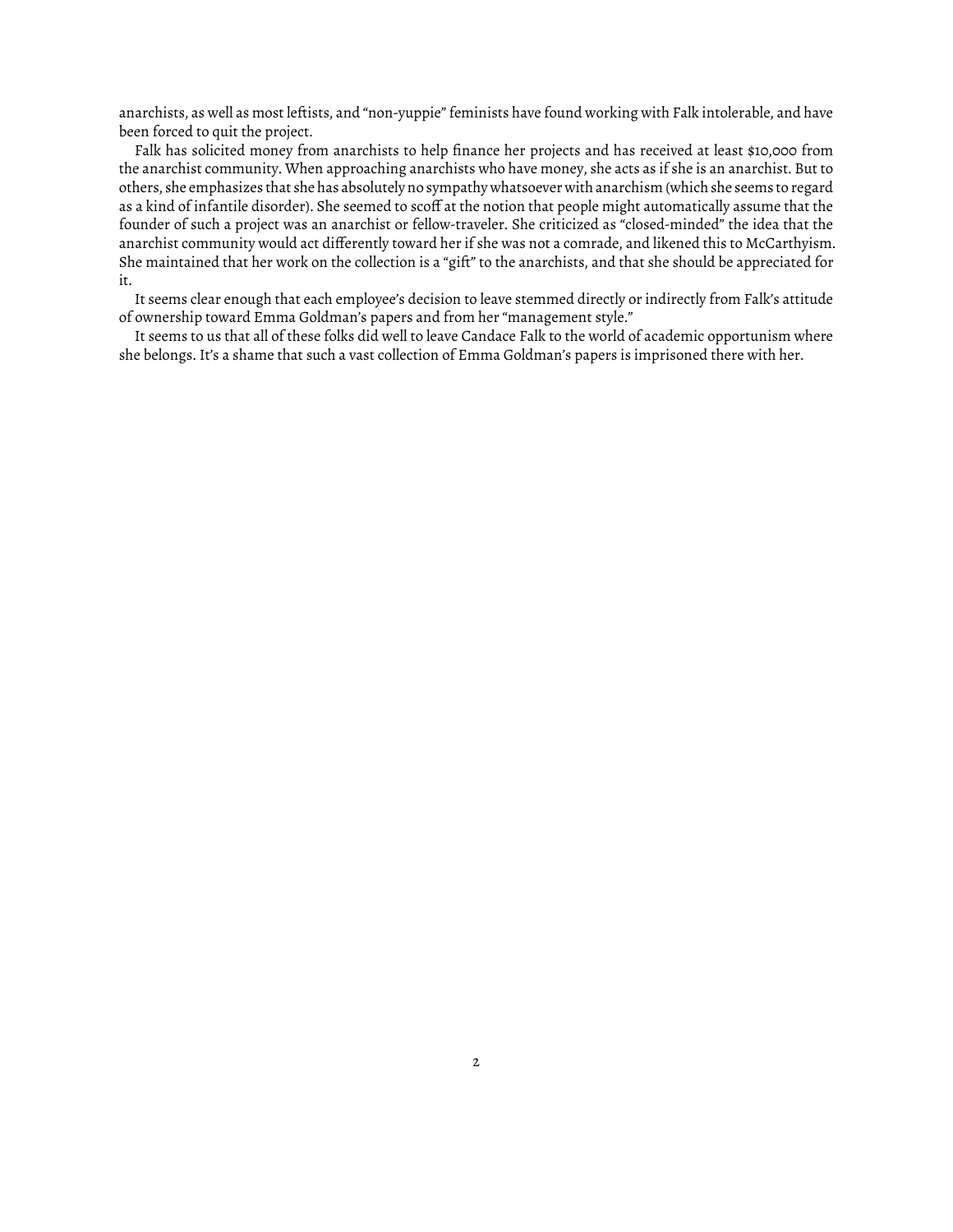anarchists, as well as most leftists, and "non-yuppie" feminists have found working with Falk intolerable, and have been forced to quit the project.

Falk has solicited money from anarchists to help finance her projects and has received at least \$10,000 from the anarchist community. When approaching anarchists who have money, she acts as if she is an anarchist. But to others, she emphasizes that she has absolutely no sympathy whatsoever with anarchism (which she seems to regard as a kind of infantile disorder). She seemed to scoff at the notion that people might automatically assume that the founder of such a project was an anarchist or fellow-traveler. She criticized as "closed-minded" the idea that the anarchist community would act differently toward her if she was not a comrade, and likened this to McCarthyism. She maintained that her work on the collection is a "gift" to the anarchists, and that she should be appreciated for it.

It seems clear enough that each employee's decision to leave stemmed directly or indirectly from Falk's attitude of ownership toward Emma Goldman's papers and from her "management style."

It seems to us that all of these folks did well to leave Candace Falk to the world of academic opportunism where she belongs. It's a shame that such a vast collection of Emma Goldman's papers is imprisoned there with her.